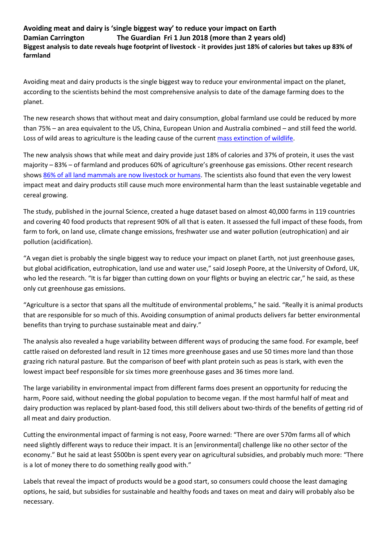**Avoiding meat and dairy is 'single biggest way' to reduce your impact on Earth Damian Carrington The Guardian Fri 1 Jun 2018 (more than 2 years old) Biggest analysis to date reveals huge footprint of livestock - it provides just 18% of calories but takes up 83% of farmland**

Avoiding meat and dairy products is the single biggest way to reduce your environmental impact on the planet, according to the scientists behind the most comprehensive analysis to date of the damage farming does to the planet.

The new research shows that without meat and dairy consumption, global farmland use could be reduced by more than 75% – an area equivalent to the US, China, European Union and Australia combined – and still feed the world. Loss of wild areas to agriculture is the leading cause of the current [mass extinction of wildlife.](https://www.theguardian.com/environment/2017/jul/10/earths-sixth-mass-extinction-event-already-underway-scientists-warn)

The new analysis shows that while meat and dairy provide just 18% of calories and 37% of protein, it uses the vast majority – 83% – of farmland and produces 60% of agriculture's greenhouse gas emissions. Other recent research shows [86% of all land mammals are now livestock or humans.](https://www.theguardian.com/environment/2018/may/21/human-race-just-001-of-all-life-but-has-destroyed-over-80-of-wild-mammals-study) The scientists also found that even the very lowest impact meat and dairy products still cause much more environmental harm than the least sustainable vegetable and cereal growing.

The study, [published in the journal Science,](http://josephpoore.com/Science%20360%206392%20987%20-%20Accepted%20Manuscript.pdf) created a huge dataset based on almost 40,000 farms in 119 countries and covering 40 food products that represent 90% of all that is eaten. It assessed the full impact of these foods, from farm to fork, on land use, climate change emissions, freshwater use and water pollution (eutrophication) and air pollution (acidification).

"A vegan diet is probably the single biggest way to reduce your impact on planet Earth, not just greenhouse gases, but global acidification, eutrophication, land use and water use," said Joseph Poore, at the University of Oxford, UK, who led the research. "It is far bigger than cutting down on your flights or buying an electric car," he said, as these only cut greenhouse gas emissions.

"Agriculture is a sector that spans all the multitude of environmental problems," he said. "Really it is animal products that are responsible for so much of this. Avoiding consumption of animal products delivers far better environmental benefits than trying to purchase sustainable meat and dairy."

The analysis also revealed a huge variability between different ways of producing the same food. For example, beef cattle raised on deforested land result in 12 times more greenhouse gases and use 50 times more land than those grazing rich natural pasture. But the comparison of beef with plant protein such as peas is stark, with even the lowest impact beef responsible for six times more greenhouse gases and 36 times more land.

The large variability in environmental impact from different farms does present an opportunity for reducing the harm, Poore said, without needing the global population to become vegan. If the most harmful half of meat and dairy production was replaced by plant-based food, this still delivers about two-thirds of the benefits of getting rid of all meat and dairy production.

Cutting the environmental impact of farming is not easy, Poore warned: "There are over 570m farms all of which need slightly different ways to reduce their impact. It is an [environmental] challenge like no other sector of the economy." But he said at least \$500bn is spent every year on agricultural subsidies, and probably much more: "There is a lot of money there to do something really good with."

Labels that reveal the impact of products would be a good start, so consumers could choose the least damaging options, he said, but subsidies for sustainable and healthy foods and [taxes on meat and dairy](https://www.theguardian.com/environment/2017/dec/11/meat-tax-inevitable-to-beat-climate-and-health-crises-says-report) will probably also be necessary.